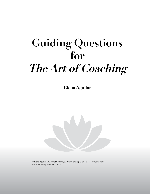# **Guiding Questions for The Art of Coaching**

**Elena Aguilar**



© Elena Aguilar. *The Art of Coaching: Effective Strategies for School Transformation*. San Francisco: Jossey-Bass, 2013.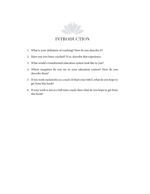

## **INTRODUCTION**

- 1. What is your definition of coaching? How do you describe it?
- 2. Have you ever been coached? If so, describe that experience.
- 3. What would a transformed education system look like to you?
- 4. Which inequities do you see in your education context? How do you describe them?
- 5. If you work exclusively as a coach (if that's your title!), what do you hope to get from this book?
- 6. If your work is not as a full-time coach, then what do you hope to get from this book?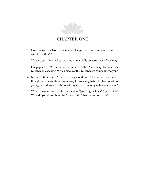

### **CHAPTER ONE**

- 1. How do your beliefs about school change and transformation compare with the author's?
- 2. What do you think makes coaching a potentially powerful way of learning?
- 3. On pages 8 to 9, the author summarizes the Annenberg Foundation's research on coaching. Which pieces of this research are compelling to you?
- 4. In the section titled, "The Necessary Conditions," the author shares her thoughts on the conditions necessary for coaching to be effective. What do you agree or disagree with? What might she be missing in her assessment?
- 5. What comes up for you in the section "Speaking of Race" (pp. 14–15)? What do you think about the "three truths" that the author posits?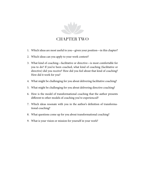

#### CHAPTER TWO

- 1. Which ideas are most useful to you—given your position—in this chapter?
- 2. Which ideas can you apply to your work context?
- 3. What kind of coaching—facilitative or directive—is most comfortable for you to do? If you've been coached, what kind of coaching (facilitative or directive) did you receive? How did you feel about that kind of coaching? How did it work for you?
- 4. What might be challenging for you about delivering facilitative coaching?
- 5. What might be challenging for you about delivering directive coaching?
- 6. How is the model of transformational coaching that the author presents different to other models of coaching you've experienced?
- 7. Which ideas resonate with you in the author's definition of transformational coaching?
- 8. What questions come up for you about transformational coaching?
- 9. What is your vision or mission for yourself in your work?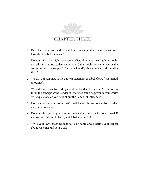

## CHAPTER THREE

- 1. Describe a belief you held as a child or young adult that you no longer hold. How did that belief change?
- 2. Do you think you might have some beliefs about your work (about teachers, administrators, students, and so on) that might not serve you or the communities you support? Can you identify those beliefs and describe them?
- 3. What's your response to the author's statement that beliefs are "just mental creations"?
- 4. What did you learn by reading about the Ladder of Inference? How do you think the concept of the Ladder of Inference could help you in your work? What questions do you have about the Ladder of Inference?
- 5. Do the core values exercise that's available on the author's website. What are your core values?
- 6. Do you think you might have any beliefs that conflict with core values? If you suspect this might be so, which beliefs conflict?
- 7. Write your own coaching manifesto or name and describe your beliefs about coaching and your work.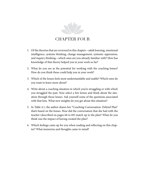

## CHAPTER FOUR

- 1. Of the theories that are reviewed in this chapter—adult learning, emotional intelligence, systems thinking, change management, systemic oppression, and inquiry thinking—which ones are you already familiar with? How has knowledge of that theory helped you in your work so far?
- 2. What do you see as the potential for working with the coaching lenses? How do you think these could help you in your work?
- 3. Which of the lenses feels most understandable and usable? Which ones do you want to learn more about?
- 4. Write about a coaching situation in which you're struggling or with which you struggled the past. Now select a few lenses and think about the situation through those lenses. Ask yourself some of the questions associated with that lens. What new insights do you get about this situation?
- 5. In Table 4.1, the author shares her "Coaching Conversation: Debrief Plan" that's based on the lenses. How did the conversation that she had with the teacher (described on pages 66 to 69) match up to the plan? What do you think was the impact of having created the plan?
- 6. Which feelings came up for you when reading and reflecting on this chapter? What memories and thoughts came to mind?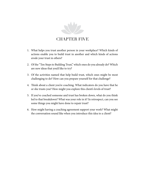

## CHAPTER FIVE

- 1. What helps you trust another person in your workplace? Which kinds of actions enable you to build trust in another and which kinds of actions erode your trust in others?
- 2. Of the "Ten Steps to Building Trust," which ones do you already do? Which are new ideas that you'd like to try?
- 3. Of the activities named that help build trust, which ones might be most challenging to do? How can you prepare yourself for that challenge?
- 4. Think about a client you're coaching. What indicators do you have that he or she trusts you? How might you explore this client's levels of trust?
- 5. If you've coached someone and trust has broken down, what do you think led to that breakdown? What was your role in it? In retrospect, can you see some things you might have done to repair trust?
- 6. How might having a coaching agreement support your work? What might the conversation sound like when you introduce this idea to a client?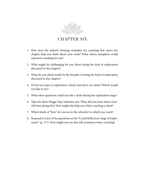

## **CHAPTER SIX**

- 1. How does the author's farming metaphor for coaching that opens the chapter help you think about your work? What others metaphors could represent coaching for you?
- 2. What might be challenging for you about doing the kind of exploration discussed in this chapter?
- 3. What do you think would be the benefits of doing the kind of exploration discussed in this chapter?
- 4. Of the ten steps in exploration, which ones have you done? Which would you like to try?
- 5. What other questions could you ask a client during the exploration stage?
- 6. Take the Myer-Briggs Type Indicator test. What did you learn about yourself from doing this? How might this help you when coaching a client?
- 7. Which kinds of "fires" do you see in the school(s) in which you coach?
- 8. Respond to a few of the questions on the "Coach Reflection: Stage of Exploration" (p. 117). How might you use this self-awareness when coaching?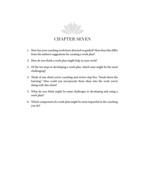

## CHAPTER SEVEN

- 1. How has your coaching work been directed or guided? How does this differ from the author's suggestions for creating a work plan?
- 2. How do you think a work plan might help in your work?
- 3. Of the ten steps to developing a work plan, which ones might be the most challenging?
- 4. Think of one client you're coaching and review step five, "break down the learning." How could you incorporate these ideas into the work you're doing with this client?
- 5. What do you think might be some challenges to developing and using a work plan?
- 6. Which component of a work plan might be most impactful in the coaching you do?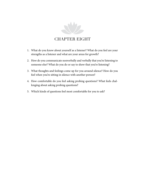

## CHAPTER EIGHT

- 1. What do you know about yourself as a listener? What do you feel are your strengths as a listener and what are your areas for growth?
- 2. How do you communicate nonverbally and verbally that you're listening to someone else? What do you do or say to show that you're listening?
- 3. What thoughts and feelings come up for you around silence? How do you feel when you're sitting in silence with another person?
- 4. How comfortable do you feel asking probing questions? What feels challenging about asking probing questions?
- 5. Which kinds of questions feel most comfortable for you to ask?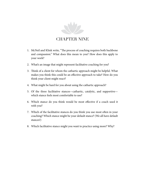

## CHAPTER NINE

- 1. McNeil and Klink write, "The process of coaching requires both backbone and compassion." What does this mean to you? How does this apply to your work?
- 2. What's an image that might represent facilitative coaching for you?
- 3. Think of a client for whom the cathartic approach might be helpful. What makes you think this could be an effective approach to take? How do you think your client might react?
- 4. What might be hard for you about using the cathartic approach?
- 5. Of the three facilitative stances—cathartic, catalytic, and supportive which stance feels most comfortable to use?
- 6. Which stance do you think would be most effective if a coach used it with you?
- 7. Which of the facilitative stances do you think you use most often in your coaching? Which stance might be your default stance? (We all have default stances!)
- 8. Which facilitative stance might you want to practice using more? Why?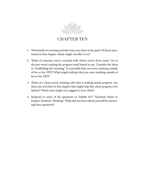

## **CHAPTER TEN**

- 1. What kinds of coaching activities have you done in the past? Of those mentioned in this chapter, which might you like to try?
- 2. Think of someone you've coached with whom you've been stuck—he or she just wasn't making the progress you'd hoped to see. Consider the ideas in "Scaffolding the Learning." Is it possible that you were coaching outside of his or her ZPD? What might indicate that you were working outside of his or her ZPD?
- 3. Think of a client you're working with who is making steady progress. Are there any activities in this chapter that might help this client progress even farther? Which ones might you suggest to your client?
- 4. Respond to some of the questions in Exhibit 10.1 "Question Stems to Explore Symbolic Thinking." What did you learn about yourself by answering these questions?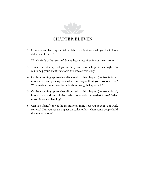

## Chapter Eleven

- 1. Have you ever had any mental models that might have held you back? How did you shift those?
- 2. Which kinds of "rut stories" do you hear most often in your work context?
- 3. Think of a rut story that you recently heard. Which questions might you ask to help your client transform this into a river story?
- 4. Of the coaching approaches discussed in this chapter (confrontational, informative, and prescriptive), which one do you think you most often use? What makes you feel comfortable about using that approach?
- 5. Of the coaching approaches discussed in this chapter (confrontational, informative, and prescriptive), which one feels the hardest to use? What makes it feel challenging?
- 6. Can you identify any of the institutional mind-sets you hear in your work context? Can you see an impact on stakeholders when some people hold this mental model?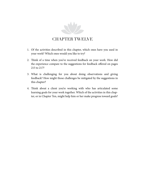

## Chapter Twelve

- 1. Of the activities described in this chapter, which ones have you used in your work? Which ones would you like to try?
- 2. Think of a time when you've received feedback on your work. How did the experience compare to the suggestions for feedback offered on pages 215 to 217?
- 3. What is challenging for you about doing observations and giving feedback? How might those challenges be mitigated by the suggestions in this chapter?
- 4. Think about a client you're working with who has articulated some learning goals for your work together. Which of the activities in this chapter, or in Chapter Ten, might help him or her make progress toward goals?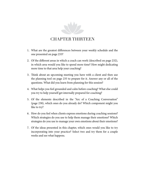

## Chapter Thirteen

- 1. What are the greatest differences between your weekly schedule and the one presented on page 233?
- 2. Of the different areas in which a coach can work (described on page 232), in which area would you like to spend more time? How might dedicating more time to that area help your coaching?
- 3. Think about an upcoming meeting you have with a client and then use the planning tool on page 235 to prepare for it. Answer any or all of the questions. What did you learn from planning for this session?
- 4. What helps you feel grounded and calm before coaching? What else could you try to help yourself get internally prepared for coaching?
- 5. Of the elements described in the "Arc of a Coaching Conversation" (page 238), which ones do you already do? Which component might you like to try?
- 6. How do you feel when clients express emotions during coaching sessions? Which strategies do you use to help them manage their emotions? Which strategies do you use to manage your own emotions about their emotions?
- 7. Of the ideas presented in this chapter, which ones would you like to try incorporating into your practice? Select two and try them for a couple weeks and see what happens.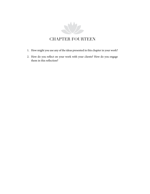

- 1. How might you use any of the ideas presented in this chapter in your work?
- 2. How do you reflect on your work with your clients? How do you engage them in this reflection?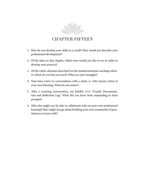

#### Chapter Fifteen

- 1. How do you develop your skills as a coach? How would you describe your professional development?
- 2. Of the ideas in this chapter, which ones would you like to try in order to develop your practice?
- 3. Of the rubric domains described on the transformational coaching rubric, in which do you feel you excel? What are your strengths?
- 4. Next time you're in conversations with a client, or with anyone, listen to your own listening. What do you notice?
- 5. After a coaching conversation, use Exhibit 15.3, "Coach's Documentation and Reflection Log." What did you learn from responding to these prompts?
- 6. Who else might you be able to collaborate with on your own professional learning? How might you go about building your own community of practitioners to learn with?